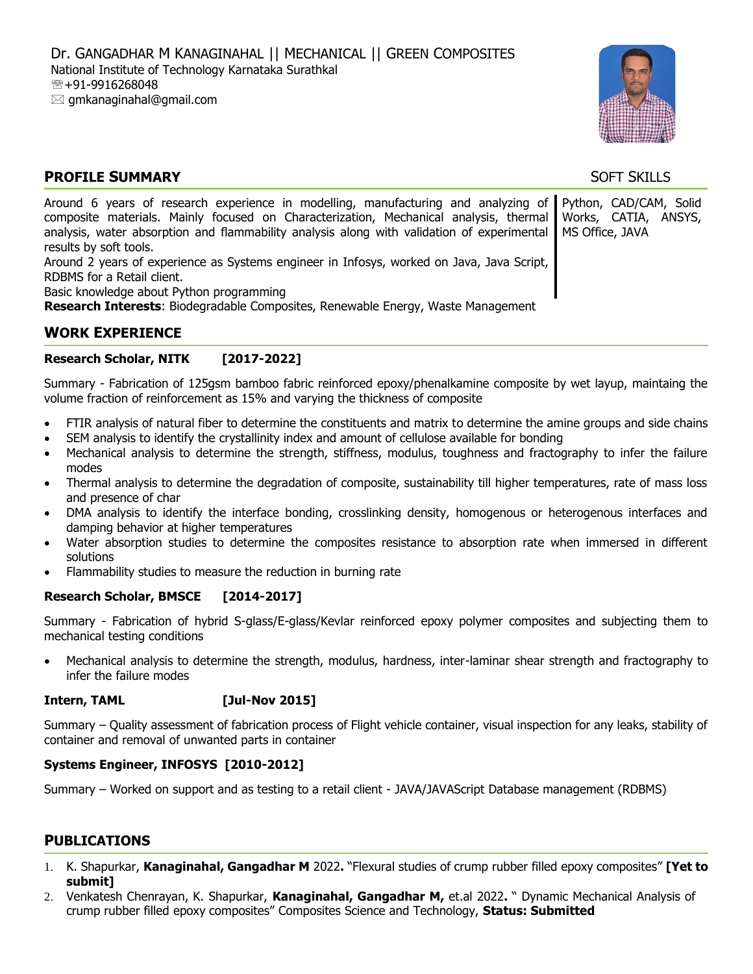

# **PROFILE SUMMARY** SOFT SKILLS

| Around 6 years of research experience in modelling, manufacturing and analyzing of Python, CAD/CAM, Solid  |  |
|------------------------------------------------------------------------------------------------------------|--|
| composite materials. Mainly focused on Characterization, Mechanical analysis, thermal Works, CATIA, ANSYS, |  |
| analysis, water absorption and flammability analysis along with validation of experimental MS Office, JAVA |  |
| results by soft tools.                                                                                     |  |
| Around 2 years of experience as Systems engineer in Infosys, worked on Java, Java Script,                  |  |
| RDBMS for a Retail client.                                                                                 |  |
| Basic knowledge about Python programming                                                                   |  |
| <b>Research Interests: Biodegradable Composites, Renewable Energy, Waste Management</b>                    |  |

# **WORK EXPERIENCE**

## **Research Scholar, NITK [2017-2022]**

Summary - Fabrication of 125gsm bamboo fabric reinforced epoxy/phenalkamine composite by wet layup, maintaing the volume fraction of reinforcement as 15% and varying the thickness of composite

- FTIR analysis of natural fiber to determine the constituents and matrix to determine the amine groups and side chains
- SEM analysis to identify the crystallinity index and amount of cellulose available for bonding
- Mechanical analysis to determine the strength, stiffness, modulus, toughness and fractography to infer the failure modes
- Thermal analysis to determine the degradation of composite, sustainability till higher temperatures, rate of mass loss and presence of char
- DMA analysis to identify the interface bonding, crosslinking density, homogenous or heterogenous interfaces and damping behavior at higher temperatures
- Water absorption studies to determine the composites resistance to absorption rate when immersed in different solutions
- Flammability studies to measure the reduction in burning rate

## **Research Scholar, BMSCE [2014-2017]**

Summary - Fabrication of hybrid S-glass/E-glass/Kevlar reinforced epoxy polymer composites and subjecting them to mechanical testing conditions

 Mechanical analysis to determine the strength, modulus, hardness, inter-laminar shear strength and fractography to infer the failure modes

#### **Intern, TAML [Jul-Nov 2015]**

Summary – Quality assessment of fabrication process of Flight vehicle container, visual inspection for any leaks, stability of container and removal of unwanted parts in container

#### **Systems Engineer, INFOSYS [2010-2012]**

Summary – Worked on support and as testing to a retail client - JAVA/JAVAScript Database management (RDBMS)

# **PUBLICATIONS**

- 1. K. Shapurkar, **Kanaginahal, Gangadhar M** 2022**.** "Flexural studies of crump rubber filled epoxy composites" **[Yet to submit]**
- 2. Venkatesh Chenrayan, K. Shapurkar, **Kanaginahal, Gangadhar M,** et.al 2022**.** " Dynamic Mechanical Analysis of crump rubber filled epoxy composites" Composites Science and Technology, **Status: Submitted**